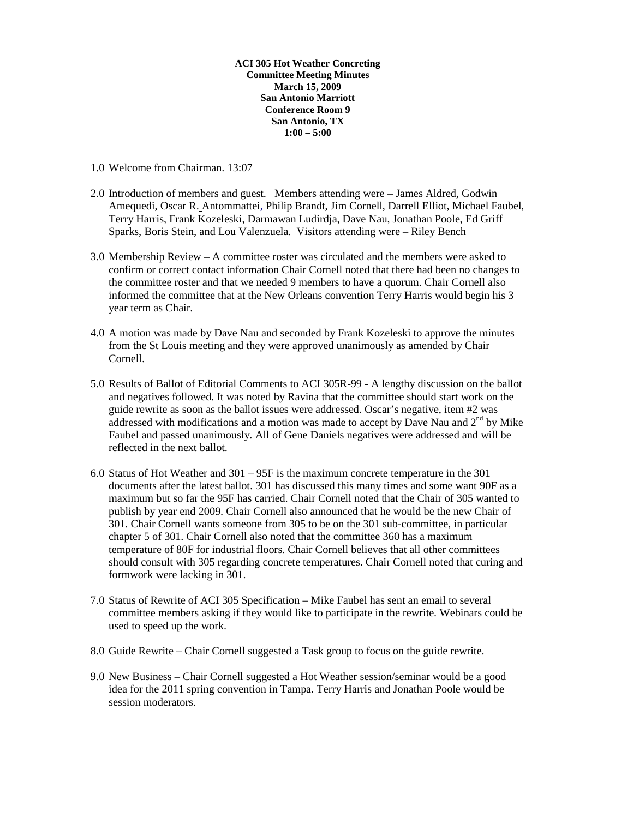**ACI 305 Hot Weather Concreting Committee Meeting Minutes March 15, 2009 San Antonio Marriott Conference Room 9 San Antonio, TX 1:00 – 5:00** 

- 1.0 Welcome from Chairman. 13:07
- 2.0 Introduction of members and guest. Members attending were James Aldred, Godwin Amequedi, Oscar R. Antommattei, Philip Brandt, Jim Cornell, Darrell Elliot, Michael Faubel, Terry Harris, Frank Kozeleski, Darmawan Ludirdja, Dave Nau, Jonathan Poole, Ed Griff Sparks, Boris Stein, and Lou Valenzuela. Visitors attending were – Riley Bench
- 3.0 Membership Review A committee roster was circulated and the members were asked to confirm or correct contact information Chair Cornell noted that there had been no changes to the committee roster and that we needed 9 members to have a quorum. Chair Cornell also informed the committee that at the New Orleans convention Terry Harris would begin his 3 year term as Chair.
- 4.0 A motion was made by Dave Nau and seconded by Frank Kozeleski to approve the minutes from the St Louis meeting and they were approved unanimously as amended by Chair Cornell.
- 5.0 Results of Ballot of Editorial Comments to ACI 305R-99 A lengthy discussion on the ballot and negatives followed. It was noted by Ravina that the committee should start work on the guide rewrite as soon as the ballot issues were addressed. Oscar's negative, item #2 was addressed with modifications and a motion was made to accept by Dave Nau and  $2<sup>nd</sup>$  by Mike Faubel and passed unanimously. All of Gene Daniels negatives were addressed and will be reflected in the next ballot.
- 6.0 Status of Hot Weather and 301 95F is the maximum concrete temperature in the 301 documents after the latest ballot. 301 has discussed this many times and some want 90F as a maximum but so far the 95F has carried. Chair Cornell noted that the Chair of 305 wanted to publish by year end 2009. Chair Cornell also announced that he would be the new Chair of 301. Chair Cornell wants someone from 305 to be on the 301 sub-committee, in particular chapter 5 of 301. Chair Cornell also noted that the committee 360 has a maximum temperature of 80F for industrial floors. Chair Cornell believes that all other committees should consult with 305 regarding concrete temperatures. Chair Cornell noted that curing and formwork were lacking in 301.
- 7.0 Status of Rewrite of ACI 305 Specification Mike Faubel has sent an email to several committee members asking if they would like to participate in the rewrite. Webinars could be used to speed up the work.
- 8.0 Guide Rewrite Chair Cornell suggested a Task group to focus on the guide rewrite.
- 9.0 New Business Chair Cornell suggested a Hot Weather session/seminar would be a good idea for the 2011 spring convention in Tampa. Terry Harris and Jonathan Poole would be session moderators.